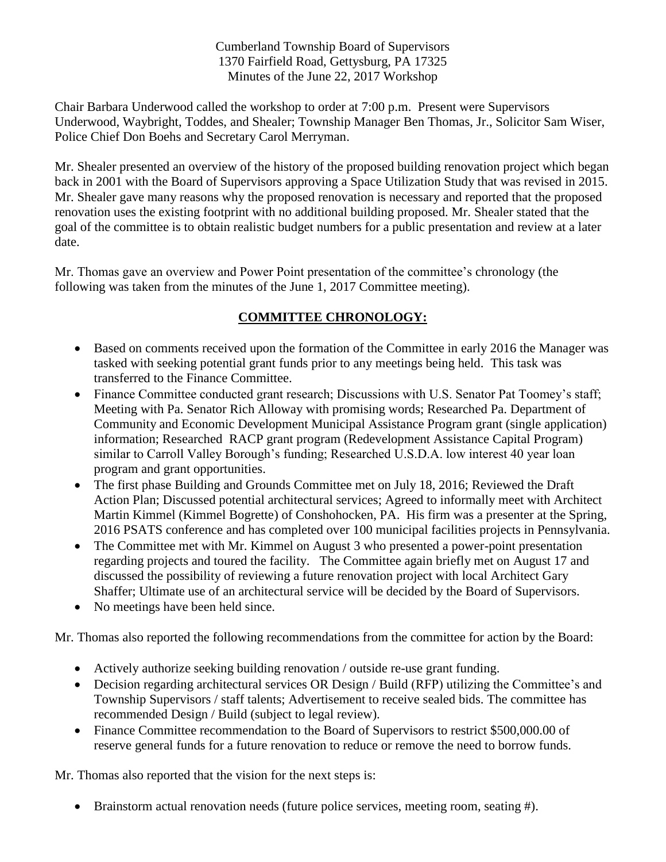Cumberland Township Board of Supervisors 1370 Fairfield Road, Gettysburg, PA 17325 Minutes of the June 22, 2017 Workshop

Chair Barbara Underwood called the workshop to order at 7:00 p.m. Present were Supervisors Underwood, Waybright, Toddes, and Shealer; Township Manager Ben Thomas, Jr., Solicitor Sam Wiser, Police Chief Don Boehs and Secretary Carol Merryman.

Mr. Shealer presented an overview of the history of the proposed building renovation project which began back in 2001 with the Board of Supervisors approving a Space Utilization Study that was revised in 2015. Mr. Shealer gave many reasons why the proposed renovation is necessary and reported that the proposed renovation uses the existing footprint with no additional building proposed. Mr. Shealer stated that the goal of the committee is to obtain realistic budget numbers for a public presentation and review at a later date.

Mr. Thomas gave an overview and Power Point presentation of the committee's chronology (the following was taken from the minutes of the June 1, 2017 Committee meeting).

## **COMMITTEE CHRONOLOGY:**

- Based on comments received upon the formation of the Committee in early 2016 the Manager was tasked with seeking potential grant funds prior to any meetings being held. This task was transferred to the Finance Committee.
- Finance Committee conducted grant research; Discussions with U.S. Senator Pat Toomey's staff; Meeting with Pa. Senator Rich Alloway with promising words; Researched Pa. Department of Community and Economic Development Municipal Assistance Program grant (single application) information; Researched RACP grant program (Redevelopment Assistance Capital Program) similar to Carroll Valley Borough's funding; Researched U.S.D.A. low interest 40 year loan program and grant opportunities.
- The first phase Building and Grounds Committee met on July 18, 2016; Reviewed the Draft Action Plan; Discussed potential architectural services; Agreed to informally meet with Architect Martin Kimmel (Kimmel Bogrette) of Conshohocken, PA. His firm was a presenter at the Spring, 2016 PSATS conference and has completed over 100 municipal facilities projects in Pennsylvania.
- The Committee met with Mr. Kimmel on August 3 who presented a power-point presentation regarding projects and toured the facility. The Committee again briefly met on August 17 and discussed the possibility of reviewing a future renovation project with local Architect Gary Shaffer; Ultimate use of an architectural service will be decided by the Board of Supervisors.
- No meetings have been held since.

Mr. Thomas also reported the following recommendations from the committee for action by the Board:

- Actively authorize seeking building renovation / outside re-use grant funding.
- Decision regarding architectural services OR Design / Build (RFP) utilizing the Committee's and Township Supervisors / staff talents; Advertisement to receive sealed bids. The committee has recommended Design / Build (subject to legal review).
- Finance Committee recommendation to the Board of Supervisors to restrict \$500,000.00 of reserve general funds for a future renovation to reduce or remove the need to borrow funds.

Mr. Thomas also reported that the vision for the next steps is:

• Brainstorm actual renovation needs (future police services, meeting room, seating #).